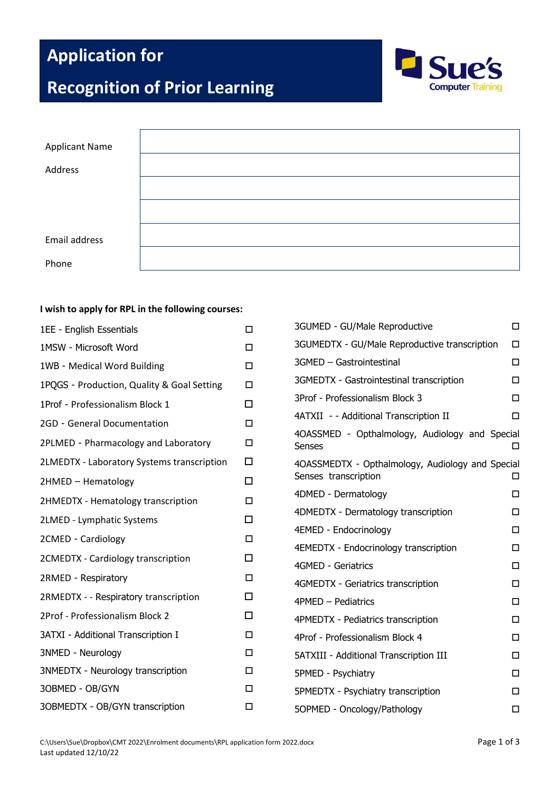# **Application for**

# **Recognition of Prior Learning**



| <b>Applicant Name</b> |  |
|-----------------------|--|
|                       |  |
| Address               |  |
|                       |  |
|                       |  |
|                       |  |
|                       |  |
|                       |  |
| Email address         |  |
|                       |  |
| Phone                 |  |

### **I wish to apply for RPL in the following courses:**

| 1EE - English Essentials                   | Π      |
|--------------------------------------------|--------|
| 1MSW - Microsoft Word                      | п      |
| 1WB - Medical Word Building                | $\Box$ |
| 1PQGS - Production, Quality & Goal Setting | п      |
| 1Prof - Professionalism Block 1            | п      |
| 2GD - General Documentation                | $\Box$ |
| 2PLMED - Pharmacology and Laboratory       | п      |
| 2LMEDTX - Laboratory Systems transcription | п      |
| 2HMED - Hematology                         | □      |
| 2HMEDTX - Hematology transcription         | □      |
| 2LMED - Lymphatic Systems                  | п      |
| 2CMED - Cardiology                         | П      |
| 2CMEDTX - Cardiology transcription         | п      |
| 2RMED - Respiratory                        | □      |
| 2RMEDTX - - Respiratory transcription      | □      |
| 2Prof - Professionalism Block 2            | п      |
| 3ATXI - Additional Transcription I         | □      |
| 3NMED - Neurology                          | □      |
| 3NMEDTX - Neurology transcription          | п      |
| 3OBMED - OB/GYN                            | п      |
| 3OBMEDTX - OB/GYN transcription            | п      |

| 3GUMED - GU/Male Reproductive                                            |   |
|--------------------------------------------------------------------------|---|
| 3GUMEDTX - GU/Male Reproductive transcription                            | □ |
| 3GMED - Gastrointestinal                                                 | п |
| 3GMEDTX - Gastrointestinal transcription                                 | п |
| 3Prof - Professionalism Block 3                                          | п |
| 4ATXII - - Additional Transcription II                                   | п |
| 4OASSMED - Opthalmology, Audiology and Special<br><b>Senses</b>          | п |
| 4OASSMEDTX - Opthalmology, Audiology and Special<br>Senses transcription |   |
| 4DMED - Dermatology                                                      | п |
| 4DMEDTX - Dermatology transcription                                      | п |
| 4EMED - Endocrinology                                                    | п |
| 4EMEDTX - Endocrinology transcription                                    | п |
| 4GMED - Geriatrics                                                       | Π |
| 4GMEDTX - Geriatrics transcription                                       | п |
| 4PMED - Pediatrics                                                       | п |
| 4PMEDTX - Pediatrics transcription                                       | п |
| 4Prof - Professionalism Block 4                                          | п |
| 5ATXIII - Additional Transcription III                                   | п |
| 5PMED - Psychiatry                                                       | п |
| 5PMEDTX - Psychiatry transcription                                       | m |
| 5OPMED - Oncology/Pathology                                              | □ |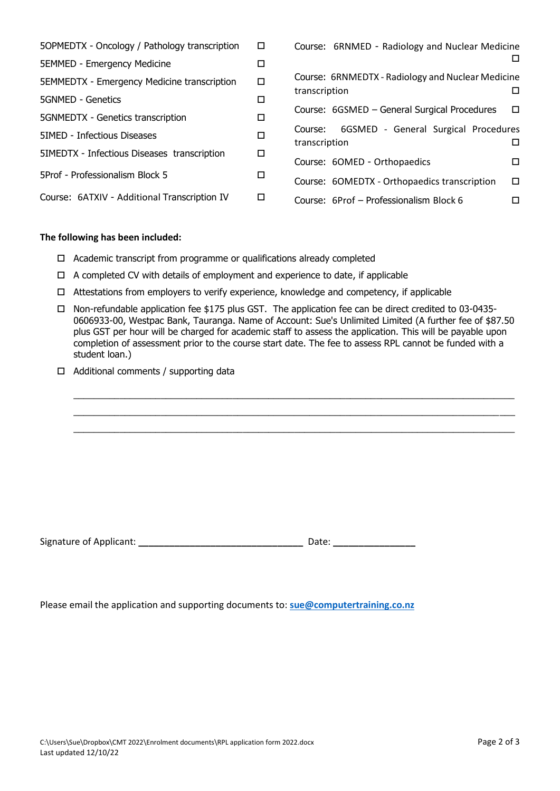| 50PMEDTX - Oncology / Pathology transcription | □      | Course: 6RNMED - Radiology and Nuclear Medicine                                    |
|-----------------------------------------------|--------|------------------------------------------------------------------------------------|
| <b>5EMMED - Emergency Medicine</b>            | □      |                                                                                    |
| 5EMMEDTX - Emergency Medicine transcription   | $\Box$ | Course: 6RNMEDTX - Radiology and Nuclear Medicine<br>transcription<br>$\mathsf{L}$ |
| 5GNMED - Genetics                             | □      |                                                                                    |
| 5GNMEDTX - Genetics transcription             | □      | Course: 6GSMED - General Surgical Procedures<br>□                                  |
| 5IMED - Infectious Diseases                   | □      | 6GSMED - General Surgical Procedures<br>Course:<br>transcription<br>П              |
| 5IMEDTX - Infectious Diseases transcription   | □      | Course: 6OMED - Orthopaedics<br>П                                                  |
| 5 SProf - Professionalism Block               | □      | Course: 6OMEDTX - Orthopaedics transcription<br>$\Box$                             |
| Course: 6ATXIV - Additional Transcription IV  | $\Box$ | Course: 6Prof – Professionalism Block 6<br>□                                       |

#### **The following has been included:**

- $\Box$  Academic transcript from programme or qualifications already completed
- $\Box$  A completed CV with details of employment and experience to date, if applicable
- $\Box$  Attestations from employers to verify experience, knowledge and competency, if applicable
- Non-refundable application fee \$175 plus GST. The application fee can be direct credited to 03-0435- 0606933-00, Westpac Bank, Tauranga. Name of Account: Sue's Unlimited Limited (A further fee of \$87.50 plus GST per hour will be charged for academic staff to assess the application. This will be payable upon completion of assessment prior to the course start date. The fee to assess RPL cannot be funded with a student loan.)

 $\_$  , and the set of the set of the set of the set of the set of the set of the set of the set of the set of the set of the set of the set of the set of the set of the set of the set of the set of the set of the set of th  $\_$  ,  $\_$  ,  $\_$  ,  $\_$  ,  $\_$  ,  $\_$  ,  $\_$  ,  $\_$  ,  $\_$  ,  $\_$  ,  $\_$  ,  $\_$  ,  $\_$  ,  $\_$  ,  $\_$  ,  $\_$  ,  $\_$  ,  $\_$  ,  $\_$  ,  $\_$  ,  $\_$  ,  $\_$  ,  $\_$  ,  $\_$  ,  $\_$  ,  $\_$  ,  $\_$  ,  $\_$  ,  $\_$  ,  $\_$  ,  $\_$  ,  $\_$  ,  $\_$  ,  $\_$  ,  $\_$  ,  $\_$  ,  $\_$  ,  $\_$  ,  $\_$  ,  $\_$  ,  $\_$  ,  $\_$  ,  $\_$  ,  $\_$  ,  $\_$  ,  $\_$  ,  $\_$  ,  $\_$  ,  $\_$  ,  $\_$  ,  $\_$  ,  $\_$  ,  $\_$  ,  $\_$  ,  $\_$  ,  $\_$  ,  $\_$  ,  $\_$  ,  $\_$  ,  $\_$  ,  $\_$  ,  $\_$  ,  $\_$  ,  $\_$  ,  $\_$  ,  $\_$  ,  $\_$  ,  $\_$  ,  $\_$  ,  $\_$  ,  $\_$  ,  $\_$  ,  $\_$  ,  $\_$  ,

 $\Box$  Additional comments / supporting data

| Signature of Applicant: | Date: |
|-------------------------|-------|
|-------------------------|-------|

Please email the application and supporting documents to: **[sue@computertraining.co.nz](mailto:sue@computertraining.co.nz)**